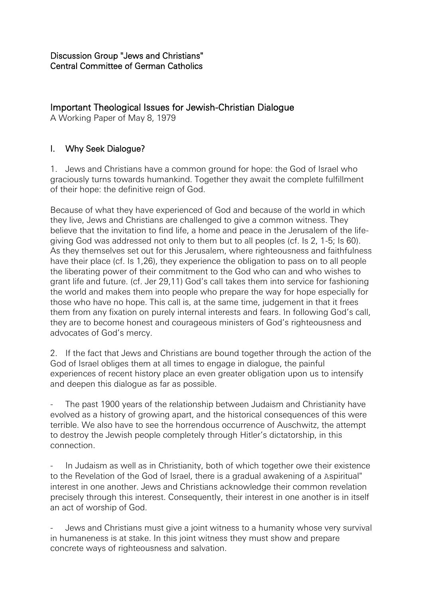# Important Theological Issues for Jewish-Christian Dialogue

A Working Paper of May 8, 1979

## I. Why Seek Dialogue?

1. Jews and Christians have a common ground for hope: the God of Israel who graciously turns towards humankind. Together they await the complete fulfillment of their hope: the definitive reign of God.

Because of what they have experienced of God and because of the world in which they live, Jews and Christians are challenged to give a common witness. They believe that the invitation to find life, a home and peace in the Jerusalem of the lifegiving God was addressed not only to them but to all peoples (cf. Is 2, 1-5; Is 60). As they themselves set out for this Jerusalem, where righteousness and faithfulness have their place (cf. Is 1,26), they experience the obligation to pass on to all people the liberating power of their commitment to the God who can and who wishes to grant life and future. (cf. Jer 29,11) God's call takes them into service for fashioning the world and makes them into people who prepare the way for hope especially for those who have no hope. This call is, at the same time, judgement in that it frees them from any fixation on purely internal interests and fears. In following God's call, they are to become honest and courageous ministers of God's righteousness and advocates of God's mercy.

2. If the fact that Jews and Christians are bound together through the action of the God of Israel obliges them at all times to engage in dialogue, the painful experiences of recent history place an even greater obligation upon us to intensify and deepen this dialogue as far as possible.

The past 1900 years of the relationship between Judaism and Christianity have evolved as a history of growing apart, and the historical consequences of this were terrible. We also have to see the horrendous occurrence of Auschwitz, the attempt to destroy the Jewish people completely through Hitler's dictatorship, in this connection.

In Judaism as well as in Christianity, both of which together owe their existence to the Revelation of the God of Israel, there is a gradual awakening of a Aspiritual" interest in one another. Jews and Christians acknowledge their common revelation precisely through this interest. Consequently, their interest in one another is in itself an act of worship of God.

Jews and Christians must give a joint witness to a humanity whose very survival in humaneness is at stake. In this joint witness they must show and prepare concrete ways of righteousness and salvation.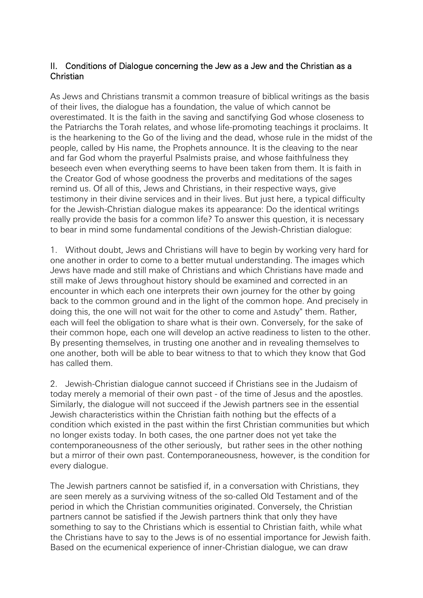### II. Conditions of Dialogue concerning the Jew as a Jew and the Christian as a Christian

As Jews and Christians transmit a common treasure of biblical writings as the basis of their lives, the dialogue has a foundation, the value of which cannot be overestimated. It is the faith in the saving and sanctifying God whose closeness to the Patriarchs the Torah relates, and whose life-promoting teachings it proclaims. It is the hearkening to the Go of the living and the dead, whose rule in the midst of the people, called by His name, the Prophets announce. It is the cleaving to the near and far God whom the prayerful Psalmists praise, and whose faithfulness they beseech even when everything seems to have been taken from them. It is faith in the Creator God of whose goodness the proverbs and meditations of the sages remind us. Of all of this, Jews and Christians, in their respective ways, give testimony in their divine services and in their lives. But just here, a typical difficulty for the Jewish-Christian dialogue makes its appearance: Do the identical writings really provide the basis for a common life? To answer this question, it is necessary to bear in mind some fundamental conditions of the Jewish-Christian dialogue:

1. Without doubt, Jews and Christians will have to begin by working very hard for one another in order to come to a better mutual understanding. The images which Jews have made and still make of Christians and which Christians have made and still make of Jews throughout history should be examined and corrected in an encounter in which each one interprets their own journey for the other by going back to the common ground and in the light of the common hope. And precisely in doing this, the one will not wait for the other to come and Astudy" them. Rather, each will feel the obligation to share what is their own. Conversely, for the sake of their common hope, each one will develop an active readiness to listen to the other. By presenting themselves, in trusting one another and in revealing themselves to one another, both will be able to bear witness to that to which they know that God has called them.

2. Jewish-Christian dialogue cannot succeed if Christians see in the Judaism of today merely a memorial of their own past - of the time of Jesus and the apostles. Similarly, the dialogue will not succeed if the Jewish partners see in the essential Jewish characteristics within the Christian faith nothing but the effects of a condition which existed in the past within the first Christian communities but which no longer exists today. In both cases, the one partner does not yet take the contemporaneousness of the other seriously, but rather sees in the other nothing but a mirror of their own past. Contemporaneousness, however, is the condition for every dialogue.

The Jewish partners cannot be satisfied if, in a conversation with Christians, they are seen merely as a surviving witness of the so-called Old Testament and of the period in which the Christian communities originated. Conversely, the Christian partners cannot be satisfied if the Jewish partners think that only they have something to say to the Christians which is essential to Christian faith, while what the Christians have to say to the Jews is of no essential importance for Jewish faith. Based on the ecumenical experience of inner-Christian dialogue, we can draw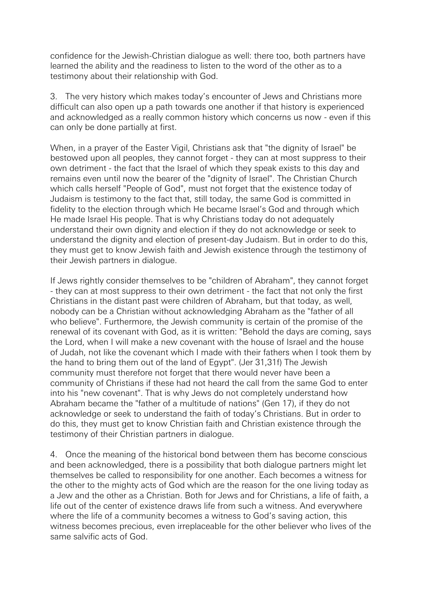confidence for the Jewish-Christian dialogue as well: there too, both partners have learned the ability and the readiness to listen to the word of the other as to a testimony about their relationship with God.

3. The very history which makes today's encounter of Jews and Christians more difficult can also open up a path towards one another if that history is experienced and acknowledged as a really common history which concerns us now - even if this can only be done partially at first.

When, in a prayer of the Easter Vigil, Christians ask that "the dignity of Israel" be bestowed upon all peoples, they cannot forget - they can at most suppress to their own detriment - the fact that the Israel of which they speak exists to this day and remains even until now the bearer of the "dignity of Israel". The Christian Church which calls herself "People of God", must not forget that the existence today of Judaism is testimony to the fact that, still today, the same God is committed in fidelity to the election through which He became Israel's God and through which He made Israel His people. That is why Christians today do not adequately understand their own dignity and election if they do not acknowledge or seek to understand the dignity and election of present-day Judaism. But in order to do this, they must get to know Jewish faith and Jewish existence through the testimony of their Jewish partners in dialogue.

If Jews rightly consider themselves to be "children of Abraham", they cannot forget - they can at most suppress to their own detriment - the fact that not only the first Christians in the distant past were children of Abraham, but that today, as well, nobody can be a Christian without acknowledging Abraham as the "father of all who believe". Furthermore, the Jewish community is certain of the promise of the renewal of its covenant with God, as it is written: "Behold the days are coming, says the Lord, when I will make a new covenant with the house of Israel and the house of Judah, not like the covenant which I made with their fathers when I took them by the hand to bring them out of the land of Egypt". (Jer 31,31f) The Jewish community must therefore not forget that there would never have been a community of Christians if these had not heard the call from the same God to enter into his "new covenant". That is why Jews do not completely understand how Abraham became the "father of a multitude of nations" (Gen 17), if they do not acknowledge or seek to understand the faith of today's Christians. But in order to do this, they must get to know Christian faith and Christian existence through the testimony of their Christian partners in dialogue.

4. Once the meaning of the historical bond between them has become conscious and been acknowledged, there is a possibility that both dialogue partners might let themselves be called to responsibility for one another. Each becomes a witness for the other to the mighty acts of God which are the reason for the one living today as a Jew and the other as a Christian. Both for Jews and for Christians, a life of faith, a life out of the center of existence draws life from such a witness. And everywhere where the life of a community becomes a witness to God's saving action, this witness becomes precious, even irreplaceable for the other believer who lives of the same salvific acts of God.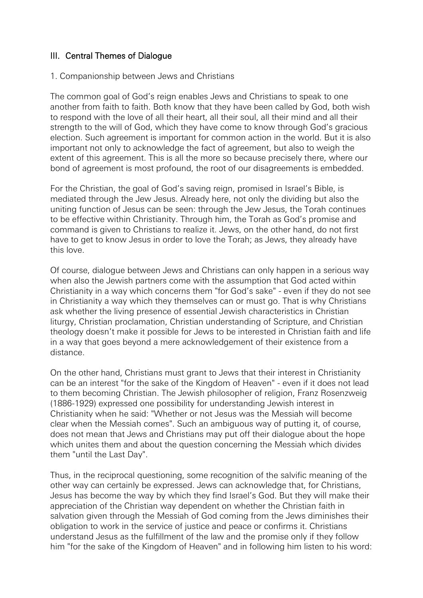### III. Central Themes of Dialogue

#### 1. Companionship between Jews and Christians

The common goal of God's reign enables Jews and Christians to speak to one another from faith to faith. Both know that they have been called by God, both wish to respond with the love of all their heart, all their soul, all their mind and all their strength to the will of God, which they have come to know through God's gracious election. Such agreement is important for common action in the world. But it is also important not only to acknowledge the fact of agreement, but also to weigh the extent of this agreement. This is all the more so because precisely there, where our bond of agreement is most profound, the root of our disagreements is embedded.

For the Christian, the goal of God's saving reign, promised in Israel's Bible, is mediated through the Jew Jesus. Already here, not only the dividing but also the uniting function of Jesus can be seen: through the Jew Jesus, the Torah continues to be effective within Christianity. Through him, the Torah as God's promise and command is given to Christians to realize it. Jews, on the other hand, do not first have to get to know Jesus in order to love the Torah; as Jews, they already have this love.

Of course, dialogue between Jews and Christians can only happen in a serious way when also the Jewish partners come with the assumption that God acted within Christianity in a way which concerns them "for God's sake" - even if they do not see in Christianity a way which they themselves can or must go. That is why Christians ask whether the living presence of essential Jewish characteristics in Christian liturgy, Christian proclamation, Christian understanding of Scripture, and Christian theology doesn't make it possible for Jews to be interested in Christian faith and life in a way that goes beyond a mere acknowledgement of their existence from a distance.

On the other hand, Christians must grant to Jews that their interest in Christianity can be an interest "for the sake of the Kingdom of Heaven" - even if it does not lead to them becoming Christian. The Jewish philosopher of religion, Franz Rosenzweig (1886-1929) expressed one possibility for understanding Jewish interest in Christianity when he said: "Whether or not Jesus was the Messiah will become clear when the Messiah comes". Such an ambiguous way of putting it, of course, does not mean that Jews and Christians may put off their dialogue about the hope which unites them and about the question concerning the Messiah which divides them "until the Last Day".

Thus, in the reciprocal questioning, some recognition of the salvific meaning of the other way can certainly be expressed. Jews can acknowledge that, for Christians, Jesus has become the way by which they find Israel's God. But they will make their appreciation of the Christian way dependent on whether the Christian faith in salvation given through the Messiah of God coming from the Jews diminishes their obligation to work in the service of justice and peace or confirms it. Christians understand Jesus as the fulfillment of the law and the promise only if they follow him "for the sake of the Kingdom of Heaven" and in following him listen to his word: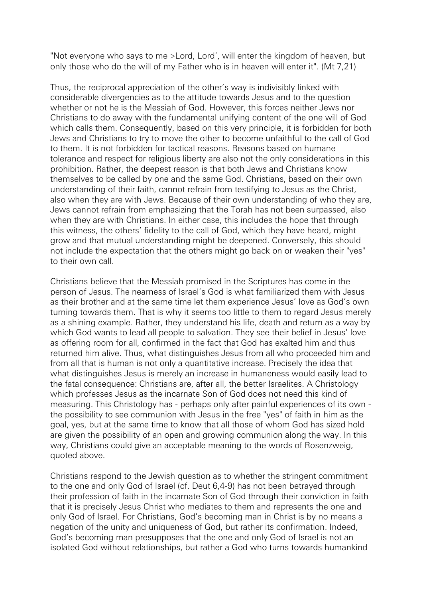"Not everyone who says to me >Lord, Lord', will enter the kingdom of heaven, but only those who do the will of my Father who is in heaven will enter it". (Mt 7,21)

Thus, the reciprocal appreciation of the other's way is indivisibly linked with considerable divergencies as to the attitude towards Jesus and to the question whether or not he is the Messiah of God. However, this forces neither Jews nor Christians to do away with the fundamental unifying content of the one will of God which calls them. Consequently, based on this very principle, it is forbidden for both Jews and Christians to try to move the other to become unfaithful to the call of God to them. It is not forbidden for tactical reasons. Reasons based on humane tolerance and respect for religious liberty are also not the only considerations in this prohibition. Rather, the deepest reason is that both Jews and Christians know themselves to be called by one and the same God. Christians, based on their own understanding of their faith, cannot refrain from testifying to Jesus as the Christ, also when they are with Jews. Because of their own understanding of who they are, Jews cannot refrain from emphasizing that the Torah has not been surpassed, also when they are with Christians. In either case, this includes the hope that through this witness, the others' fidelity to the call of God, which they have heard, might grow and that mutual understanding might be deepened. Conversely, this should not include the expectation that the others might go back on or weaken their "yes" to their own call.

Christians believe that the Messiah promised in the Scriptures has come in the person of Jesus. The nearness of Israel's God is what familiarized them with Jesus as their brother and at the same time let them experience Jesus' love as God's own turning towards them. That is why it seems too little to them to regard Jesus merely as a shining example. Rather, they understand his life, death and return as a way by which God wants to lead all people to salvation. They see their belief in Jesus' love as offering room for all, confirmed in the fact that God has exalted him and thus returned him alive. Thus, what distinguishes Jesus from all who proceeded him and from all that is human is not only a quantitative increase. Precisely the idea that what distinguishes Jesus is merely an increase in humaneness would easily lead to the fatal consequence: Christians are, after all, the better Israelites. A Christology which professes Jesus as the incarnate Son of God does not need this kind of measuring. This Christology has - perhaps only after painful experiences of its own the possibility to see communion with Jesus in the free "yes" of faith in him as the goal, yes, but at the same time to know that all those of whom God has sized hold are given the possibility of an open and growing communion along the way. In this way, Christians could give an acceptable meaning to the words of Rosenzweig, quoted above.

Christians respond to the Jewish question as to whether the stringent commitment to the one and only God of Israel (cf. Deut 6,4-9) has not been betrayed through their profession of faith in the incarnate Son of God through their conviction in faith that it is precisely Jesus Christ who mediates to them and represents the one and only God of Israel. For Christians, God's becoming man in Christ is by no means a negation of the unity and uniqueness of God, but rather its confirmation. Indeed, God's becoming man presupposes that the one and only God of Israel is not an isolated God without relationships, but rather a God who turns towards humankind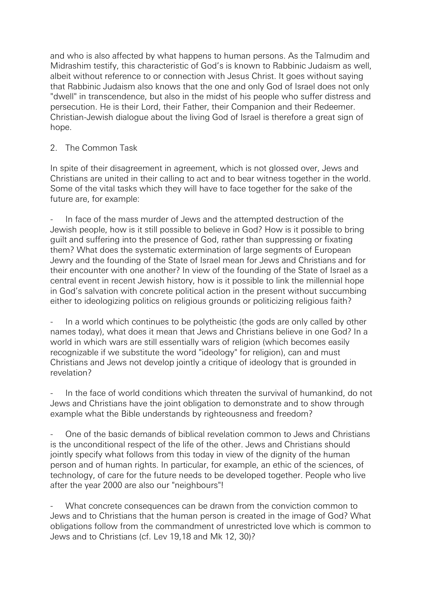and who is also affected by what happens to human persons. As the Talmudim and Midrashim testify, this characteristic of God's is known to Rabbinic Judaism as well, albeit without reference to or connection with Jesus Christ. It goes without saying that Rabbinic Judaism also knows that the one and only God of Israel does not only "dwell" in transcendence, but also in the midst of his people who suffer distress and persecution. He is their Lord, their Father, their Companion and their Redeemer. Christian-Jewish dialogue about the living God of Israel is therefore a great sign of hope.

#### 2. The Common Task

In spite of their disagreement in agreement, which is not glossed over, Jews and Christians are united in their calling to act and to bear witness together in the world. Some of the vital tasks which they will have to face together for the sake of the future are, for example:

In face of the mass murder of Jews and the attempted destruction of the Jewish people, how is it still possible to believe in God? How is it possible to bring guilt and suffering into the presence of God, rather than suppressing or fixating them? What does the systematic extermination of large segments of European Jewry and the founding of the State of Israel mean for Jews and Christians and for their encounter with one another? In view of the founding of the State of Israel as a central event in recent Jewish history, how is it possible to link the millennial hope in God's salvation with concrete political action in the present without succumbing either to ideologizing politics on religious grounds or politicizing religious faith?

In a world which continues to be polytheistic (the gods are only called by other names today), what does it mean that Jews and Christians believe in one God? In a world in which wars are still essentially wars of religion (which becomes easily recognizable if we substitute the word "ideology" for religion), can and must Christians and Jews not develop jointly a critique of ideology that is grounded in revelation?

In the face of world conditions which threaten the survival of humankind, do not Jews and Christians have the joint obligation to demonstrate and to show through example what the Bible understands by righteousness and freedom?

- One of the basic demands of biblical revelation common to Jews and Christians is the unconditional respect of the life of the other. Jews and Christians should jointly specify what follows from this today in view of the dignity of the human person and of human rights. In particular, for example, an ethic of the sciences, of technology, of care for the future needs to be developed together. People who live after the year 2000 are also our "neighbours"!

What concrete consequences can be drawn from the conviction common to Jews and to Christians that the human person is created in the image of God? What obligations follow from the commandment of unrestricted love which is common to Jews and to Christians (cf. Lev 19,18 and Mk 12, 30)?